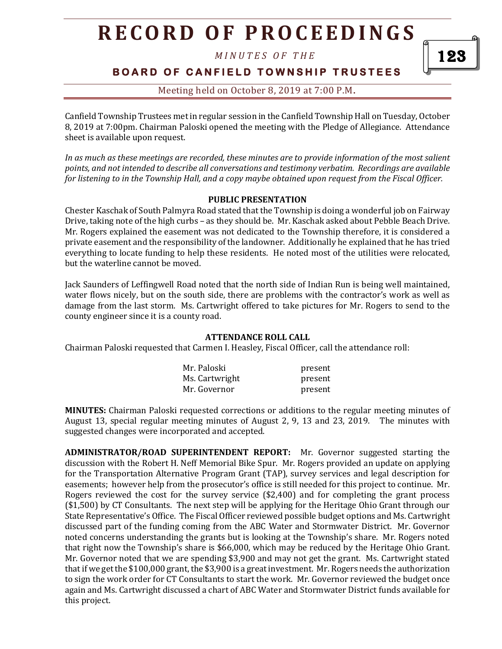*M I N U T E S O F T H E* 

**BOARD OF CANFIELD TOWNSHIP TRUSTEES** 

### Meeting held on October 8, 2019 at 7:00 P.M**.**

Canfield Township Trustees met in regular session in the Canfield Township Hall on Tuesday, October 8, 2019 at 7:00pm. Chairman Paloski opened the meeting with the Pledge of Allegiance. Attendance sheet is available upon request.

*In as much as these meetings are recorded, these minutes are to provide information of the most salient points, and not intended to describe all conversations and testimony verbatim. Recordings are available for listening to in the Township Hall, and a copy maybe obtained upon request from the Fiscal Officer.* 

#### **PUBLIC PRESENTATION**

Chester Kaschak of South Palmyra Road stated that the Township is doing a wonderful job on Fairway Drive, taking note of the high curbs – as they should be. Mr. Kaschak asked about Pebble Beach Drive. Mr. Rogers explained the easement was not dedicated to the Township therefore, it is considered a private easement and the responsibility of the landowner. Additionally he explained that he has tried everything to locate funding to help these residents. He noted most of the utilities were relocated, but the waterline cannot be moved.

Jack Saunders of Leffingwell Road noted that the north side of Indian Run is being well maintained, water flows nicely, but on the south side, there are problems with the contractor's work as well as damage from the last storm. Ms. Cartwright offered to take pictures for Mr. Rogers to send to the county engineer since it is a county road.

#### **ATTENDANCE ROLL CALL**

Chairman Paloski requested that Carmen I. Heasley, Fiscal Officer, call the attendance roll:

| Mr. Paloski    | present |
|----------------|---------|
| Ms. Cartwright | present |
| Mr. Governor   | present |

**MINUTES:** Chairman Paloski requested corrections or additions to the regular meeting minutes of August 13, special regular meeting minutes of August 2, 9, 13 and 23, 2019. The minutes with suggested changes were incorporated and accepted.

**ADMINISTRATOR/ROAD SUPERINTENDENT REPORT:** Mr. Governor suggested starting the discussion with the Robert H. Neff Memorial Bike Spur. Mr. Rogers provided an update on applying for the Transportation Alternative Program Grant (TAP), survey services and legal description for easements; however help from the prosecutor's office is still needed for this project to continue. Mr. Rogers reviewed the cost for the survey service (\$2,400) and for completing the grant process (\$1,500) by CT Consultants. The next step will be applying for the Heritage Ohio Grant through our State Representative's Office. The Fiscal Officer reviewed possible budget options and Ms. Cartwright discussed part of the funding coming from the ABC Water and Stormwater District. Mr. Governor noted concerns understanding the grants but is looking at the Township's share. Mr. Rogers noted that right now the Township's share is \$66,000, which may be reduced by the Heritage Ohio Grant. Mr. Governor noted that we are spending \$3,900 and may not get the grant. Ms. Cartwright stated that if we get the \$100,000 grant, the \$3,900 is a great investment. Mr. Rogers needs the authorization to sign the work order for CT Consultants to start the work. Mr. Governor reviewed the budget once again and Ms. Cartwright discussed a chart of ABC Water and Stormwater District funds available for this project.

123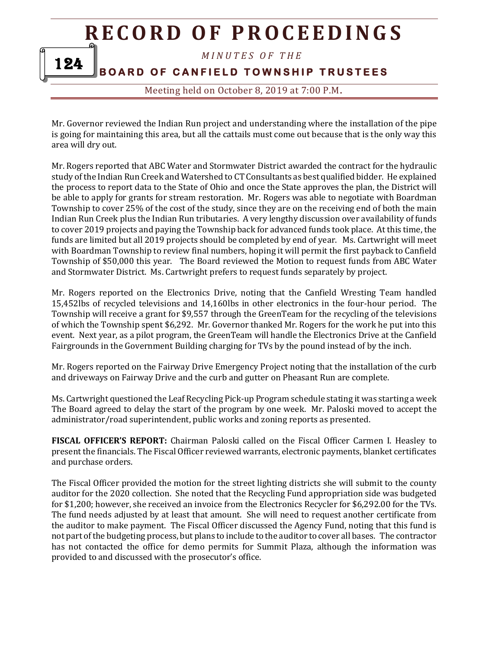*M I N U T E S O F T H E* 

**BOARD OF CANFIELD TOWNSHIP TRUSTEES** 

124

Meeting held on October 8, 2019 at 7:00 P.M**.**

Mr. Governor reviewed the Indian Run project and understanding where the installation of the pipe is going for maintaining this area, but all the cattails must come out because that is the only way this area will dry out.

Mr. Rogers reported that ABC Water and Stormwater District awarded the contract for the hydraulic study of the Indian Run Creek and Watershed to CT Consultants as best qualified bidder. He explained the process to report data to the State of Ohio and once the State approves the plan, the District will be able to apply for grants for stream restoration. Mr. Rogers was able to negotiate with Boardman Township to cover 25% of the cost of the study, since they are on the receiving end of both the main Indian Run Creek plus the Indian Run tributaries. A very lengthy discussion over availability of funds to cover 2019 projects and paying the Township back for advanced funds took place. At this time, the funds are limited but all 2019 projects should be completed by end of year. Ms. Cartwright will meet with Boardman Township to review final numbers, hoping it will permit the first payback to Canfield Township of \$50,000 this year. The Board reviewed the Motion to request funds from ABC Water and Stormwater District. Ms. Cartwright prefers to request funds separately by project.

Mr. Rogers reported on the Electronics Drive, noting that the Canfield Wresting Team handled 15,452lbs of recycled televisions and 14,160lbs in other electronics in the four-hour period. The Township will receive a grant for \$9,557 through the GreenTeam for the recycling of the televisions of which the Township spent \$6,292. Mr. Governor thanked Mr. Rogers for the work he put into this event. Next year, as a pilot program, the GreenTeam will handle the Electronics Drive at the Canfield Fairgrounds in the Government Building charging for TVs by the pound instead of by the inch.

Mr. Rogers reported on the Fairway Drive Emergency Project noting that the installation of the curb and driveways on Fairway Drive and the curb and gutter on Pheasant Run are complete.

Ms. Cartwright questioned the Leaf Recycling Pick-up Program schedule stating it was starting a week The Board agreed to delay the start of the program by one week. Mr. Paloski moved to accept the administrator/road superintendent, public works and zoning reports as presented.

**FISCAL OFFICER'S REPORT:** Chairman Paloski called on the Fiscal Officer Carmen I. Heasley to present the financials. The Fiscal Officer reviewed warrants, electronic payments, blanket certificates and purchase orders.

The Fiscal Officer provided the motion for the street lighting districts she will submit to the county auditor for the 2020 collection. She noted that the Recycling Fund appropriation side was budgeted for \$1,200; however, she received an invoice from the Electronics Recycler for \$6,292.00 for the TVs. The fund needs adjusted by at least that amount. She will need to request another certificate from the auditor to make payment. The Fiscal Officer discussed the Agency Fund, noting that this fund is not part of the budgeting process, but plans to include to the auditor to cover all bases. The contractor has not contacted the office for demo permits for Summit Plaza, although the information was provided to and discussed with the prosecutor's office.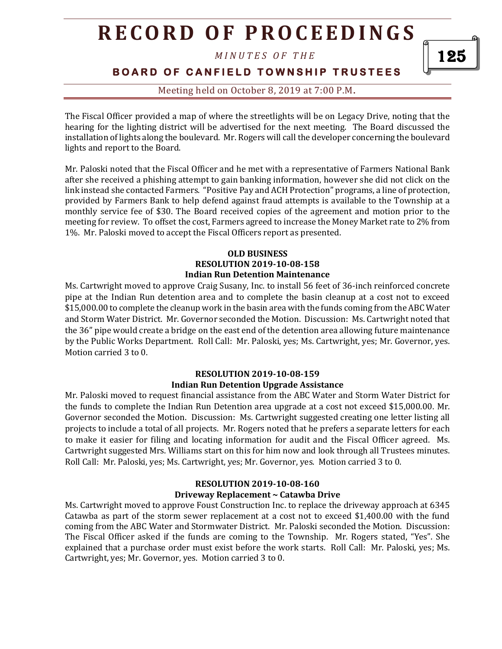*M I N U T E S O F T H E* 

**BOARD OF CANFIELD TOWNSHIP TRUSTEES** 

Meeting held on October 8, 2019 at 7:00 P.M**.**

The Fiscal Officer provided a map of where the streetlights will be on Legacy Drive, noting that the hearing for the lighting district will be advertised for the next meeting. The Board discussed the installation of lights along the boulevard. Mr. Rogers will call the developer concerning the boulevard lights and report to the Board.

Mr. Paloski noted that the Fiscal Officer and he met with a representative of Farmers National Bank after she received a phishing attempt to gain banking information, however she did not click on the link instead she contacted Farmers. "Positive Pay and ACH Protection" programs, a line of protection, provided by Farmers Bank to help defend against fraud attempts is available to the Township at a monthly service fee of \$30. The Board received copies of the agreement and motion prior to the meeting for review. To offset the cost, Farmers agreed to increase the Money Market rate to 2% from 1%. Mr. Paloski moved to accept the Fiscal Officers report as presented.

#### **OLD BUSINESS RESOLUTION 2019-10-08-158 Indian Run Detention Maintenance**

Ms. Cartwright moved to approve Craig Susany, Inc. to install 56 feet of 36-inch reinforced concrete pipe at the Indian Run detention area and to complete the basin cleanup at a cost not to exceed \$15,000.00 to complete the cleanup work in the basin area with the funds coming from the ABC Water and Storm Water District. Mr. Governor seconded the Motion. Discussion: Ms. Cartwright noted that the 36" pipe would create a bridge on the east end of the detention area allowing future maintenance by the Public Works Department. Roll Call: Mr. Paloski, yes; Ms. Cartwright, yes; Mr. Governor, yes. Motion carried 3 to 0.

#### **RESOLUTION 2019-10-08-159 Indian Run Detention Upgrade Assistance**

Mr. Paloski moved to request financial assistance from the ABC Water and Storm Water District for the funds to complete the Indian Run Detention area upgrade at a cost not exceed \$15,000.00. Mr. Governor seconded the Motion. Discussion: Ms. Cartwright suggested creating one letter listing all projects to include a total of all projects. Mr. Rogers noted that he prefers a separate letters for each to make it easier for filing and locating information for audit and the Fiscal Officer agreed. Ms. Cartwright suggested Mrs. Williams start on this for him now and look through all Trustees minutes. Roll Call: Mr. Paloski, yes; Ms. Cartwright, yes; Mr. Governor, yes. Motion carried 3 to 0.

#### **RESOLUTION 2019-10-08-160 Driveway Replacement ~ Catawba Drive**

Ms. Cartwright moved to approve Foust Construction Inc. to replace the driveway approach at 6345 Catawba as part of the storm sewer replacement at a cost not to exceed \$1,400.00 with the fund coming from the ABC Water and Stormwater District. Mr. Paloski seconded the Motion. Discussion: The Fiscal Officer asked if the funds are coming to the Township. Mr. Rogers stated, "Yes". She explained that a purchase order must exist before the work starts. Roll Call: Mr. Paloski, yes; Ms. Cartwright, yes; Mr. Governor, yes. Motion carried 3 to 0.

125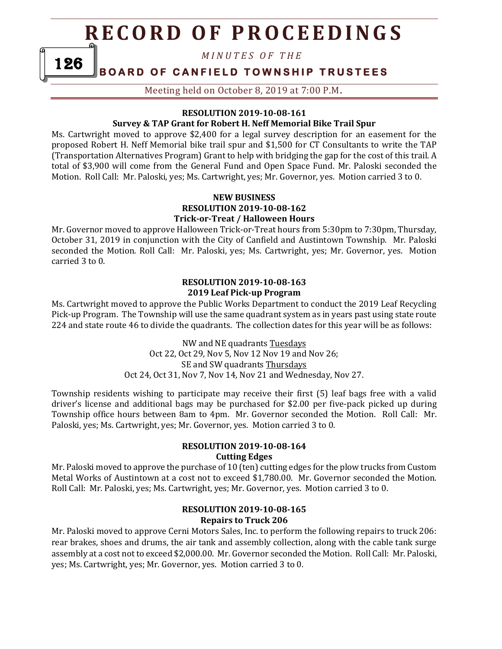*M I N U T E S O F T H E* 

### **BOARD OF CANFIELD TOWNSHIP TRUSTEES**

126

Meeting held on October 8, 2019 at 7:00 P.M**.**

#### **RESOLUTION 2019-10-08-161**

#### **Survey & TAP Grant for Robert H. Neff Memorial Bike Trail Spur**

Ms. Cartwright moved to approve \$2,400 for a legal survey description for an easement for the proposed Robert H. Neff Memorial bike trail spur and \$1,500 for CT Consultants to write the TAP (Transportation Alternatives Program) Grant to help with bridging the gap for the cost of this trail. A total of \$3,900 will come from the General Fund and Open Space Fund. Mr. Paloski seconded the Motion. Roll Call: Mr. Paloski, yes; Ms. Cartwright, yes; Mr. Governor, yes. Motion carried 3 to 0.

#### **NEW BUSINESS RESOLUTION 2019-10-08-162 Trick-or-Treat / Halloween Hours**

Mr. Governor moved to approve Halloween Trick-or-Treat hours from 5:30pm to 7:30pm, Thursday, October 31, 2019 in conjunction with the City of Canfield and Austintown Township. Mr. Paloski seconded the Motion. Roll Call: Mr. Paloski, yes; Ms. Cartwright, yes; Mr. Governor, yes. Motion carried 3 to 0.

#### **RESOLUTION 2019-10-08-163 2019 Leaf Pick-up Program**

Ms. Cartwright moved to approve the Public Works Department to conduct the 2019 Leaf Recycling Pick-up Program. The Township will use the same quadrant system as in years past using state route 224 and state route 46 to divide the quadrants. The collection dates for this year will be as follows:

> NW and NE quadrants Tuesdays Oct 22, Oct 29, Nov 5, Nov 12 Nov 19 and Nov 26; SE and SW quadrants Thursdays Oct 24, Oct 31, Nov 7, Nov 14, Nov 21 and Wednesday, Nov 27.

Township residents wishing to participate may receive their first (5) leaf bags free with a valid driver's license and additional bags may be purchased for \$2.00 per five-pack picked up during Township office hours between 8am to 4pm. Mr. Governor seconded the Motion. Roll Call: Mr. Paloski, yes; Ms. Cartwright, yes; Mr. Governor, yes. Motion carried 3 to 0.

#### **RESOLUTION 2019-10-08-164 Cutting Edges**

Mr. Paloski moved to approve the purchase of 10 (ten) cutting edges for the plow trucks from Custom Metal Works of Austintown at a cost not to exceed \$1,780.00. Mr. Governor seconded the Motion. Roll Call: Mr. Paloski, yes; Ms. Cartwright, yes; Mr. Governor, yes. Motion carried 3 to 0.

#### **RESOLUTION 2019-10-08-165 Repairs to Truck 206**

Mr. Paloski moved to approve Cerni Motors Sales, Inc. to perform the following repairs to truck 206: rear brakes, shoes and drums, the air tank and assembly collection, along with the cable tank surge assembly at a cost not to exceed \$2,000.00. Mr. Governor seconded the Motion. Roll Call: Mr. Paloski, yes; Ms. Cartwright, yes; Mr. Governor, yes. Motion carried 3 to 0.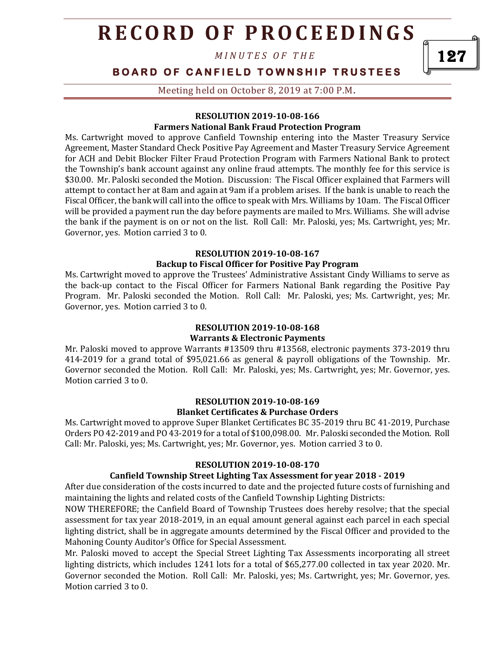*M I N U T E S O F T H E* 

### **BOARD OF CANFIELD TOWNSHIP TRUSTEES**

Meeting held on October 8, 2019 at 7:00 P.M**.**

#### **RESOLUTION 2019-10-08-166 Farmers National Bank Fraud Protection Program**

Ms. Cartwright moved to approve Canfield Township entering into the Master Treasury Service Agreement, Master Standard Check Positive Pay Agreement and Master Treasury Service Agreement for ACH and Debit Blocker Filter Fraud Protection Program with Farmers National Bank to protect the Township's bank account against any online fraud attempts. The monthly fee for this service is \$30.00. Mr. Paloski seconded the Motion. Discussion: The Fiscal Officer explained that Farmers will attempt to contact her at 8am and again at 9am if a problem arises. If the bank is unable to reach the Fiscal Officer, the bank will call into the office to speak with Mrs. Williams by 10am. The Fiscal Officer will be provided a payment run the day before payments are mailed to Mrs. Williams. She will advise the bank if the payment is on or not on the list. Roll Call: Mr. Paloski, yes; Ms. Cartwright, yes; Mr. Governor, yes. Motion carried 3 to 0.

#### **RESOLUTION 2019-10-08-167**

#### **Backup to Fiscal Officer for Positive Pay Program**

Ms. Cartwright moved to approve the Trustees' Administrative Assistant Cindy Williams to serve as the back-up contact to the Fiscal Officer for Farmers National Bank regarding the Positive Pay Program. Mr. Paloski seconded the Motion. Roll Call: Mr. Paloski, yes; Ms. Cartwright, yes; Mr. Governor, yes. Motion carried 3 to 0.

#### **RESOLUTION 2019-10-08-168 Warrants & Electronic Payments**

Mr. Paloski moved to approve Warrants #13509 thru #13568, electronic payments 373-2019 thru 414-2019 for a grand total of \$95,021.66 as general & payroll obligations of the Township. Mr. Governor seconded the Motion. Roll Call: Mr. Paloski, yes; Ms. Cartwright, yes; Mr. Governor, yes. Motion carried 3 to 0.

#### **RESOLUTION 2019-10-08-169 Blanket Certificates & Purchase Orders**

Ms. Cartwright moved to approve Super Blanket Certificates BC 35-2019 thru BC 41-2019, Purchase Orders PO 42-2019 and PO 43-2019 for a total of \$100,098.00. Mr. Paloski seconded the Motion. Roll Call: Mr. Paloski, yes; Ms. Cartwright, yes; Mr. Governor, yes. Motion carried 3 to 0.

#### **RESOLUTION 2019-10-08-170**

### **Canfield Township Street Lighting Tax Assessment for year 2018 - 2019**

After due consideration of the costs incurred to date and the projected future costs of furnishing and maintaining the lights and related costs of the Canfield Township Lighting Districts:

NOW THEREFORE; the Canfield Board of Township Trustees does hereby resolve; that the special assessment for tax year 2018-2019, in an equal amount general against each parcel in each special lighting district, shall be in aggregate amounts determined by the Fiscal Officer and provided to the Mahoning County Auditor's Office for Special Assessment.

Mr. Paloski moved to accept the Special Street Lighting Tax Assessments incorporating all street lighting districts, which includes 1241 lots for a total of \$65,277.00 collected in tax year 2020. Mr. Governor seconded the Motion. Roll Call: Mr. Paloski, yes; Ms. Cartwright, yes; Mr. Governor, yes. Motion carried 3 to 0.

127